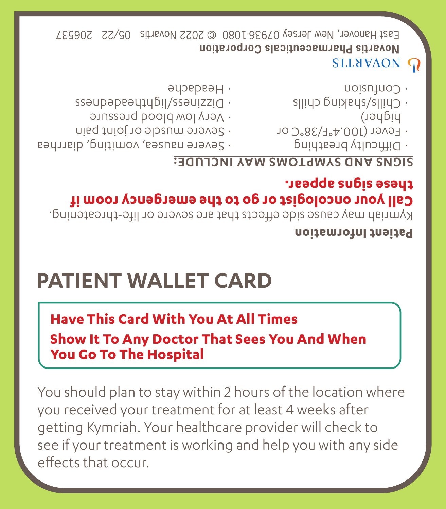You should plan to stay within 2 hours of the location where you received your treatment for at least 4 weeks after getting Kymriah. Your healthcare provider will check to see if your treatment is working and help you with any side effects that occur.

## **Show It To Any Doctor That Sees You And When You Go To The Hospital**

## **Have This Card With You At All Times**

# **PATIENT WALLET CARD**

#### **Patient Information**

Kymriah may cause side effects that are severe or life-threatening.

### **Call your oncologist or go to the emergency room if these signs appear.**

#### **SIGNS AND SYMPTOMS MAY INCLUDE:**

- · Difficulty breathing
- $-10.385/136C$  Or
- higher) silido priskalis/silido ·
- Contusion

## **SILYYAON OF**

**orporation C harmaceuticals P Novartis** East Hanover, New Jersey 0/936-1080 @ 2022 Novartis 05/22 20653/

- 
- evere nausea, vomiting, diarrhea
- evere muscle or joint pain
- 
- · Very low blood pressure
- ssaupapeautubil/ssauizzig ·
- $\rightarrow$ Headache